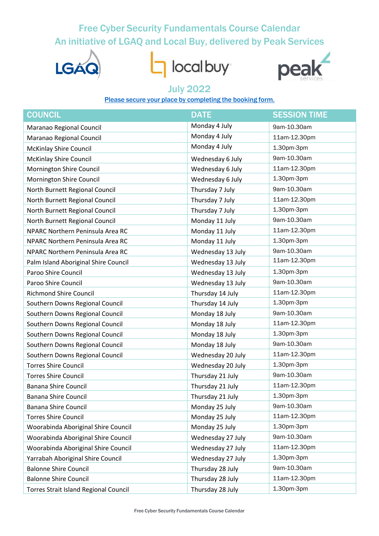# Free Cyber Security Fundamentals Course Calendar An initiative of LGAQ and Local Buy, delivered by Peak Services



local buy



### July 2022

#### Please secure your place by [completing](https://www.wearepeak.com.au/directory-record/158/cyber-security-fundamentals) the booking form.

| <b>COUNCIL</b>                               | <b>DATE</b>       | <b>SESSION TIME</b> |
|----------------------------------------------|-------------------|---------------------|
| Maranao Regional Council                     | Monday 4 July     | 9am-10.30am         |
| Maranao Regional Council                     | Monday 4 July     | 11am-12.30pm        |
| <b>McKinlay Shire Council</b>                | Monday 4 July     | 1.30pm-3pm          |
| <b>McKinlay Shire Council</b>                | Wednesday 6 July  | 9am-10.30am         |
| Mornington Shire Council                     | Wednesday 6 July  | 11am-12.30pm        |
| Mornington Shire Council                     | Wednesday 6 July  | 1.30pm-3pm          |
| North Burnett Regional Council               | Thursday 7 July   | 9am-10.30am         |
| North Burnett Regional Council               | Thursday 7 July   | 11am-12.30pm        |
| North Burnett Regional Council               | Thursday 7 July   | 1.30pm-3pm          |
| North Burnett Regional Council               | Monday 11 July    | 9am-10.30am         |
| NPARC Northern Peninsula Area RC             | Monday 11 July    | 11am-12.30pm        |
| NPARC Northern Peninsula Area RC             | Monday 11 July    | 1.30pm-3pm          |
| NPARC Northern Peninsula Area RC             | Wednesday 13 July | 9am-10.30am         |
| Palm Island Aboriginal Shire Council         | Wednesday 13 July | 11am-12.30pm        |
| Paroo Shire Council                          | Wednesday 13 July | 1.30pm-3pm          |
| Paroo Shire Council                          | Wednesday 13 July | 9am-10.30am         |
| <b>Richmond Shire Council</b>                | Thursday 14 July  | 11am-12.30pm        |
| Southern Downs Regional Council              | Thursday 14 July  | 1.30pm-3pm          |
| Southern Downs Regional Council              | Monday 18 July    | 9am-10.30am         |
| Southern Downs Regional Council              | Monday 18 July    | 11am-12.30pm        |
| Southern Downs Regional Council              | Monday 18 July    | 1.30pm-3pm          |
| Southern Downs Regional Council              | Monday 18 July    | 9am-10.30am         |
| Southern Downs Regional Council              | Wednesday 20 July | 11am-12.30pm        |
| <b>Torres Shire Council</b>                  | Wednesday 20 July | 1.30pm-3pm          |
| <b>Torres Shire Council</b>                  | Thursday 21 July  | 9am-10.30am         |
| <b>Banana Shire Council</b>                  | Thursday 21 July  | 11am-12.30pm        |
| <b>Banana Shire Council</b>                  | Thursday 21 July  | 1.30pm-3pm          |
| <b>Banana Shire Council</b>                  | Monday 25 July    | 9am-10.30am         |
| <b>Torres Shire Council</b>                  | Monday 25 July    | 11am-12.30pm        |
| Woorabinda Aboriginal Shire Council          | Monday 25 July    | 1.30pm-3pm          |
| Woorabinda Aboriginal Shire Council          | Wednesday 27 July | 9am-10.30am         |
| Woorabinda Aboriginal Shire Council          | Wednesday 27 July | 11am-12.30pm        |
| Yarrabah Aboriginal Shire Council            | Wednesday 27 July | 1.30pm-3pm          |
| <b>Balonne Shire Council</b>                 | Thursday 28 July  | 9am-10.30am         |
| <b>Balonne Shire Council</b>                 | Thursday 28 July  | 11am-12.30pm        |
| <b>Torres Strait Island Regional Council</b> | Thursday 28 July  | 1.30pm-3pm          |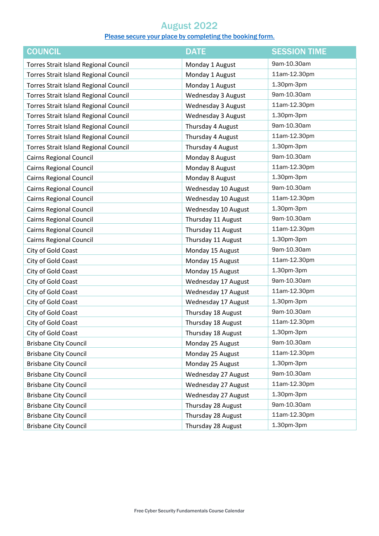## August 2022

#### Please secure your place by [completing](https://www.wearepeak.com.au/directory-record/158/cyber-security-fundamentals) the booking form.

| <b>COUNCIL</b>                               | <b>DATE</b>               | <b>SESSION TIME</b> |
|----------------------------------------------|---------------------------|---------------------|
| <b>Torres Strait Island Regional Council</b> | Monday 1 August           | 9am-10.30am         |
| <b>Torres Strait Island Regional Council</b> | Monday 1 August           | 11am-12.30pm        |
| <b>Torres Strait Island Regional Council</b> | Monday 1 August           | 1.30pm-3pm          |
| <b>Torres Strait Island Regional Council</b> | <b>Wednesday 3 August</b> | 9am-10.30am         |
| <b>Torres Strait Island Regional Council</b> | <b>Wednesday 3 August</b> | 11am-12.30pm        |
| <b>Torres Strait Island Regional Council</b> | Wednesday 3 August        | 1.30pm-3pm          |
| <b>Torres Strait Island Regional Council</b> | Thursday 4 August         | 9am-10.30am         |
| <b>Torres Strait Island Regional Council</b> | Thursday 4 August         | 11am-12.30pm        |
| <b>Torres Strait Island Regional Council</b> | Thursday 4 August         | 1.30pm-3pm          |
| <b>Cairns Regional Council</b>               | Monday 8 August           | 9am-10.30am         |
| <b>Cairns Regional Council</b>               | Monday 8 August           | 11am-12.30pm        |
| Cairns Regional Council                      | Monday 8 August           | 1.30pm-3pm          |
| <b>Cairns Regional Council</b>               | Wednesday 10 August       | 9am-10.30am         |
| <b>Cairns Regional Council</b>               | Wednesday 10 August       | 11am-12.30pm        |
| <b>Cairns Regional Council</b>               | Wednesday 10 August       | 1.30pm-3pm          |
| <b>Cairns Regional Council</b>               | Thursday 11 August        | 9am-10.30am         |
| Cairns Regional Council                      | Thursday 11 August        | 11am-12.30pm        |
| Cairns Regional Council                      | Thursday 11 August        | 1.30pm-3pm          |
| City of Gold Coast                           | Monday 15 August          | 9am-10.30am         |
| City of Gold Coast                           | Monday 15 August          | 11am-12.30pm        |
| City of Gold Coast                           | Monday 15 August          | 1.30pm-3pm          |
| City of Gold Coast                           | Wednesday 17 August       | 9am-10.30am         |
| City of Gold Coast                           | Wednesday 17 August       | 11am-12.30pm        |
| City of Gold Coast                           | Wednesday 17 August       | 1.30pm-3pm          |
| City of Gold Coast                           | Thursday 18 August        | 9am-10.30am         |
| City of Gold Coast                           | Thursday 18 August        | 11am-12.30pm        |
| City of Gold Coast                           | Thursday 18 August        | 1.30pm-3pm          |
| <b>Brisbane City Council</b>                 | Monday 25 August          | 9am-10.30am         |
| <b>Brisbane City Council</b>                 | Monday 25 August          | 11am-12.30pm        |
| <b>Brisbane City Council</b>                 | Monday 25 August          | 1.30pm-3pm          |
| <b>Brisbane City Council</b>                 | Wednesday 27 August       | 9am-10.30am         |
| <b>Brisbane City Council</b>                 | Wednesday 27 August       | 11am-12.30pm        |
| <b>Brisbane City Council</b>                 | Wednesday 27 August       | 1.30pm-3pm          |
| <b>Brisbane City Council</b>                 | Thursday 28 August        | 9am-10.30am         |
| <b>Brisbane City Council</b>                 | Thursday 28 August        | 11am-12.30pm        |
| <b>Brisbane City Council</b>                 | Thursday 28 August        | 1.30pm-3pm          |